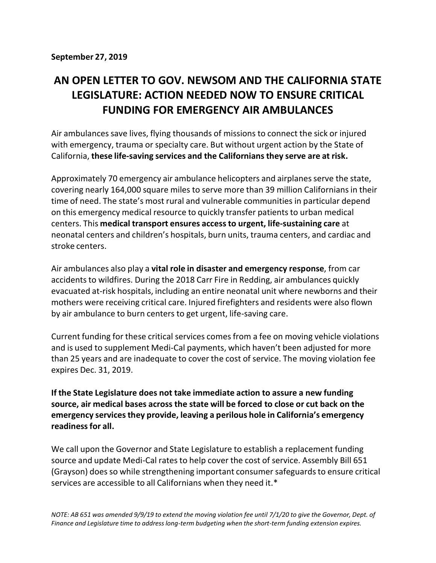## **AN OPEN LETTER TO GOV. NEWSOM AND THE CALIFORNIA STATE LEGISLATURE: ACTION NEEDED NOW TO ENSURE CRITICAL FUNDING FOR EMERGENCY AIR AMBULANCES**

Air ambulancessave lives, flying thousands of missions to connect the sick or injured with emergency, trauma or specialty care. But without urgent action by the State of California, **these life-saving services and the Californians they serve are at risk.**

Approximately 70 emergency air ambulance helicopters and airplanes serve the state, covering nearly 164,000 square miles to serve more than 39 million Californiansin their time of need. The state's most rural and vulnerable communities in particular depend on this emergency medical resource to quickly transfer patientsto urban medical centers. This **medical transport ensures accessto urgent, life-sustaining care** at neonatal centers and children's hospitals, burn units, trauma centers, and cardiac and stroke centers.

Air ambulances also play a **vital role in disaster and emergency response**, from car accidents to wildfires. During the 2018 Carr Fire in Redding, air ambulances quickly evacuated at-risk hospitals, including an entire neonatal unit where newborns and their mothers were receiving critical care. Injured firefighters and residents were also flown by air ambulance to burn centers to get urgent, life-saving care.

Current funding for these critical services comesfrom a fee on moving vehicle violations and is used to supplement Medi-Cal payments, which haven't been adjusted for more than 25 years and are inadequate to cover the cost of service. The moving violation fee expires Dec. 31, 2019.

**If the State Legislature does not take immediate action to assure a new funding source, air medical bases across the state will be forced to close or cut back on the emergency servicesthey provide, leaving a perilous hole in California's emergency readinessfor all.**

We call upon the Governor and State Legislature to establish a replacement funding source and update Medi-Cal rates to help cover the cost of service. Assembly Bill 651 (Grayson) does so while strengthening important consumer safeguards to ensure critical services are accessible to all Californians when they need it.\*

NOTE: AB 651 was amended 9/9/19 to extend the moving violation fee until 7/1/20 to give the Governor, Dept. of *Finance and Legislature time to addresslong-term budgeting when the short-term funding extension expires.*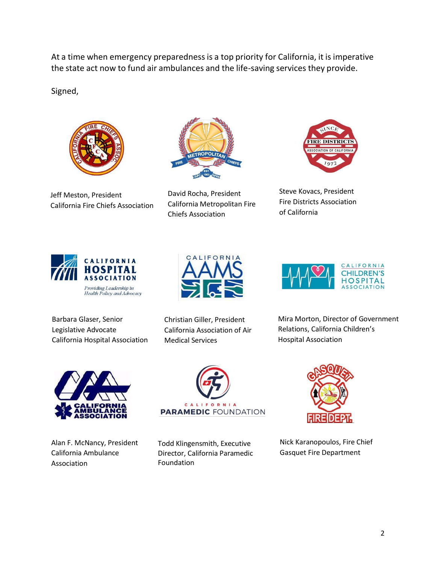At a time when emergency preparedness is a top priority for California, it is imperative the state act now to fund air ambulances and the life-saving services they provide.

Signed,



Jeff Meston, President California Fire Chiefs Association



David Rocha, President California Metropolitan Fire Chiefs Association



Steve Kovacs, President Fire Districts Association of California



Barbara Glaser, Senior Legislative Advocate California Hospital Association



Christian Giller, President California Association of Air Medical Services



Mira Morton, Director of Government Relations, California Children's Hospital Association



Alan F. McNancy, President California Ambulance Association



Todd Klingensmith, Executive Director, California Paramedic Foundation



Nick Karanopoulos, Fire Chief Gasquet Fire Department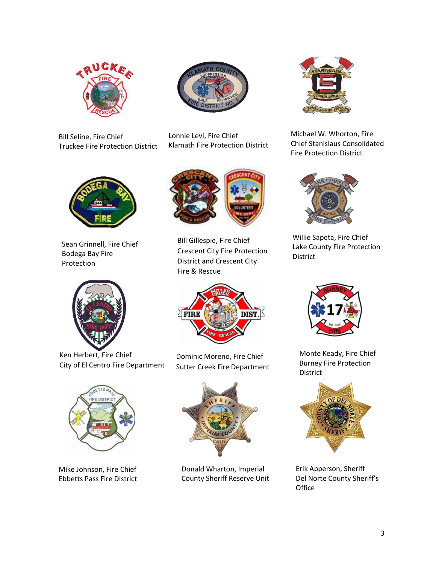



Bill Seline, Fire Chief Truckee Fire Protection District

Lonnie Levi, Fire Chief Klamath Fire Protection District



Sean Grinnell, Fire Chief Bodega Bay Fire Protection



Ken Herbert, Fire Chief City of El Centro Fire Department



Mike Johnson, Fire Chief Ebbetts Pass Fire District



Bill Gillespie, Fire Chief Crescent City Fire Protection District and Crescent City Fire & Rescue



Dominic Moreno, Fire Chief Sutter Creek Fire Department



Donald Wharton, Imperial County Sheriff Reserve Unit



Michael W. Whorton, Fire Chief Stanislaus Consolidated Fire Protection District



Willie Sapeta, Fire Chief Lake County Fire Protection District



Monte Keady, Fire Chief Burney Fire Protection District



Erik Apperson, Sheriff Del Norte County Sheriff's **Office**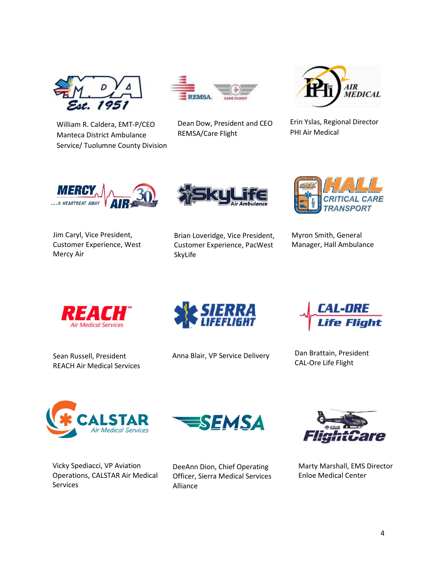

William R. Caldera, EMT-P/CEO Manteca District Ambulance Service/ Tuolumne County Division



Dean Dow, President and CEO REMSA/Care Flight



Erin Yslas, Regional Director PHI Air Medical



Jim Caryl, Vice President, Customer Experience, West Mercy Air



Brian Loveridge, Vice President, Customer Experience, PacWest SkyLife



Myron Smith, General Manager, Hall Ambulance



Sean Russell, President REACH Air Medical Services



Anna Blair, VP Service Delivery



Dan Brattain, President CAL-Ore Life Flight



Vicky Spediacci, VP Aviation Operations, CALSTAR Air Medical Services



EMSA



Marty Marshall, EMS Director Enloe Medical Center